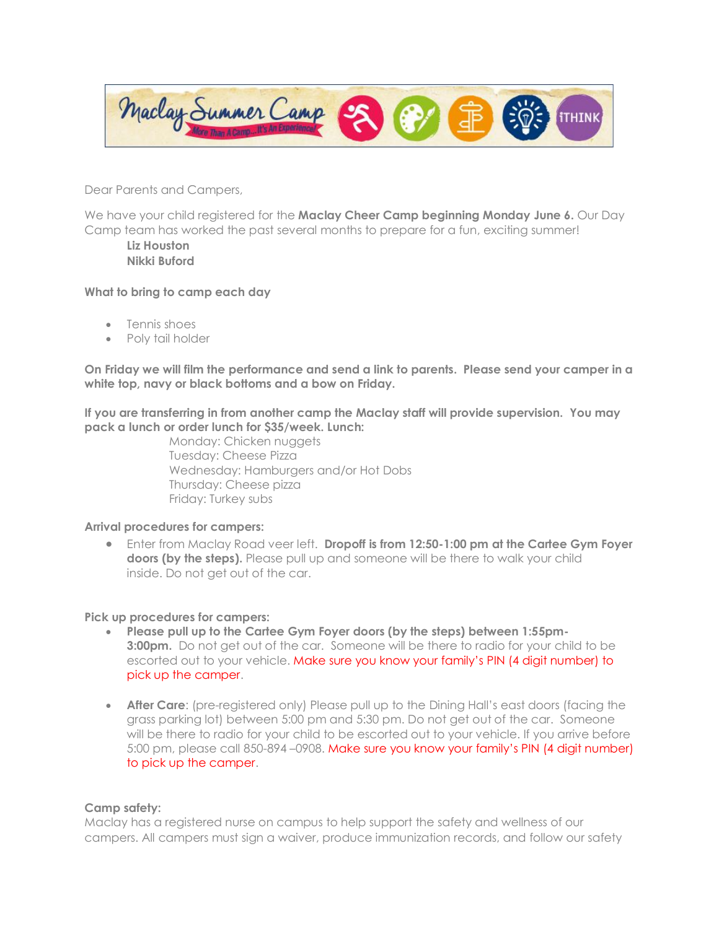

Dear Parents and Campers,

We have your child registered for the **Maclay Cheer Camp beginning Monday June 6.** Our Day Camp team has worked the past several months to prepare for a fun, exciting summer!

**Liz Houston Nikki Buford**

## **What to bring to camp each day**

- Tennis shoes
- Poly tail holder

**On Friday we will film the performance and send a link to parents. Please send your camper in a white top, navy or black bottoms and a bow on Friday.**

**If you are transferring in from another camp the Maclay staff will provide supervision. You may pack a lunch or order lunch for \$35/week. Lunch:** 

> Monday: Chicken nuggets Tuesday: Cheese Pizza Wednesday: Hamburgers and/or Hot Dobs Thursday: Cheese pizza Friday: Turkey subs

## **Arrival procedures for campers:**

• Enter from Maclay Road veer left. **Dropoff is from 12:50-1:00 pm at the Cartee Gym Foyer doors (by the steps).** Please pull up and someone will be there to walk your child inside. Do not get out of the car.

## **Pick up procedures for campers:**

- **Please pull up to the Cartee Gym Foyer doors (by the steps) between 1:55pm-3:00pm.** Do not get out of the car. Someone will be there to radio for your child to be escorted out to your vehicle. Make sure you know your family's PIN (4 digit number) to pick up the camper.
- **After Care**: (pre-registered only) Please pull up to the Dining Hall's east doors (facing the grass parking lot) between 5:00 pm and 5:30 pm. Do not get out of the car. Someone will be there to radio for your child to be escorted out to your vehicle. If you arrive before 5:00 pm, please call 850-894 –0908. Make sure you know your family's PIN (4 digit number) to pick up the camper.

## **Camp safety:**

Maclay has a registered nurse on campus to help support the safety and wellness of our campers. All campers must sign a waiver, produce immunization records, and follow our safety